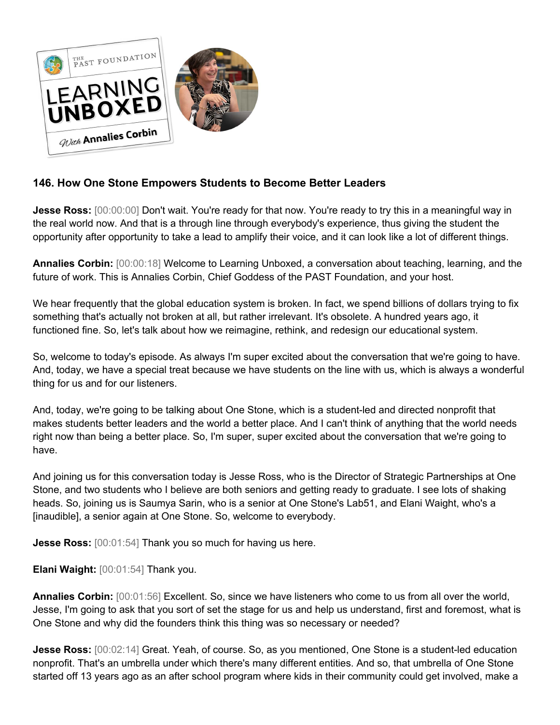

## **146. How One Stone Empowers Students to Become Better Leaders**

**Jesse Ross:** [00:00:00] Don't wait. You're ready for that now. You're ready to try this in a meaningful way in the real world now. And that is a through line through everybody's experience, thus giving the student the opportunity after opportunity to take a lead to amplify their voice, and it can look like a lot of different things.

**Annalies Corbin:** [00:00:18] Welcome to Learning Unboxed, a conversation about teaching, learning, and the future of work. This is Annalies Corbin, Chief Goddess of the PAST Foundation, and your host.

We hear frequently that the global education system is broken. In fact, we spend billions of dollars trying to fix something that's actually not broken at all, but rather irrelevant. It's obsolete. A hundred years ago, it functioned fine. So, let's talk about how we reimagine, rethink, and redesign our educational system.

So, welcome to today's episode. As always I'm super excited about the conversation that we're going to have. And, today, we have a special treat because we have students on the line with us, which is always a wonderful thing for us and for our listeners.

And, today, we're going to be talking about One Stone, which is a student-led and directed nonprofit that makes students better leaders and the world a better place. And I can't think of anything that the world needs right now than being a better place. So, I'm super, super excited about the conversation that we're going to have.

And joining us for this conversation today is Jesse Ross, who is the Director of Strategic Partnerships at One Stone, and two students who I believe are both seniors and getting ready to graduate. I see lots of shaking heads. So, joining us is Saumya Sarin, who is a senior at One Stone's Lab51, and Elani Waight, who's a [inaudible], a senior again at One Stone. So, welcome to everybody.

**Jesse Ross:** [00:01:54] Thank you so much for having us here.

**Elani Waight:** [00:01:54] Thank you.

**Annalies Corbin:** [00:01:56] Excellent. So, since we have listeners who come to us from all over the world, Jesse, I'm going to ask that you sort of set the stage for us and help us understand, first and foremost, what is One Stone and why did the founders think this thing was so necessary or needed?

**Jesse Ross:** [00:02:14] Great. Yeah, of course. So, as you mentioned, One Stone is a student-led education nonprofit. That's an umbrella under which there's many different entities. And so, that umbrella of One Stone started off 13 years ago as an after school program where kids in their community could get involved, make a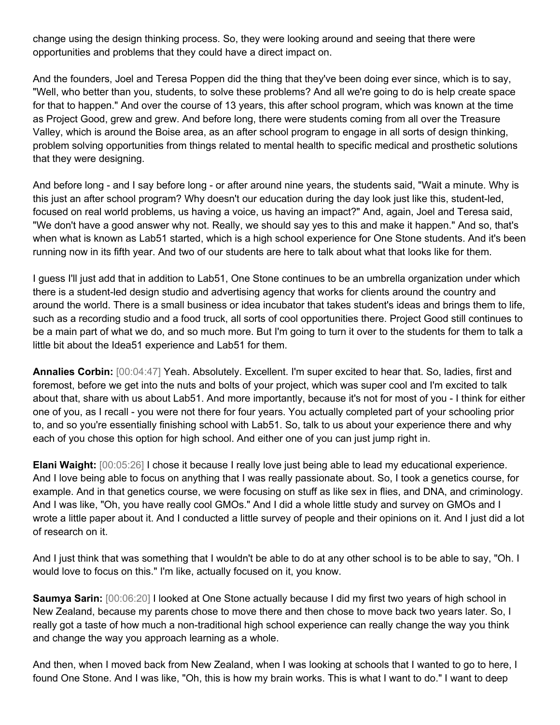change using the design thinking process. So, they were looking around and seeing that there were opportunities and problems that they could have a direct impact on.

And the founders, Joel and Teresa Poppen did the thing that they've been doing ever since, which is to say, "Well, who better than you, students, to solve these problems? And all we're going to do is help create space for that to happen." And over the course of 13 years, this after school program, which was known at the time as Project Good, grew and grew. And before long, there were students coming from all over the Treasure Valley, which is around the Boise area, as an after school program to engage in all sorts of design thinking, problem solving opportunities from things related to mental health to specific medical and prosthetic solutions that they were designing.

And before long - and I say before long - or after around nine years, the students said, "Wait a minute. Why is this just an after school program? Why doesn't our education during the day look just like this, student-led, focused on real world problems, us having a voice, us having an impact?" And, again, Joel and Teresa said, "We don't have a good answer why not. Really, we should say yes to this and make it happen." And so, that's when what is known as Lab51 started, which is a high school experience for One Stone students. And it's been running now in its fifth year. And two of our students are here to talk about what that looks like for them.

I guess I'll just add that in addition to Lab51, One Stone continues to be an umbrella organization under which there is a student-led design studio and advertising agency that works for clients around the country and around the world. There is a small business or idea incubator that takes student's ideas and brings them to life, such as a recording studio and a food truck, all sorts of cool opportunities there. Project Good still continues to be a main part of what we do, and so much more. But I'm going to turn it over to the students for them to talk a little bit about the Idea51 experience and Lab51 for them.

**Annalies Corbin:** [00:04:47] Yeah. Absolutely. Excellent. I'm super excited to hear that. So, ladies, first and foremost, before we get into the nuts and bolts of your project, which was super cool and I'm excited to talk about that, share with us about Lab51. And more importantly, because it's not for most of you - I think for either one of you, as I recall - you were not there for four years. You actually completed part of your schooling prior to, and so you're essentially finishing school with Lab51. So, talk to us about your experience there and why each of you chose this option for high school. And either one of you can just jump right in.

**Elani Waight:** [00:05:26] I chose it because I really love just being able to lead my educational experience. And I love being able to focus on anything that I was really passionate about. So, I took a genetics course, for example. And in that genetics course, we were focusing on stuff as like sex in flies, and DNA, and criminology. And I was like, "Oh, you have really cool GMOs." And I did a whole little study and survey on GMOs and I wrote a little paper about it. And I conducted a little survey of people and their opinions on it. And I just did a lot of research on it.

And I just think that was something that I wouldn't be able to do at any other school is to be able to say, "Oh. I would love to focus on this." I'm like, actually focused on it, you know.

**Saumya Sarin:** [00:06:20] I looked at One Stone actually because I did my first two years of high school in New Zealand, because my parents chose to move there and then chose to move back two years later. So, I really got a taste of how much a non-traditional high school experience can really change the way you think and change the way you approach learning as a whole.

And then, when I moved back from New Zealand, when I was looking at schools that I wanted to go to here, I found One Stone. And I was like, "Oh, this is how my brain works. This is what I want to do." I want to deep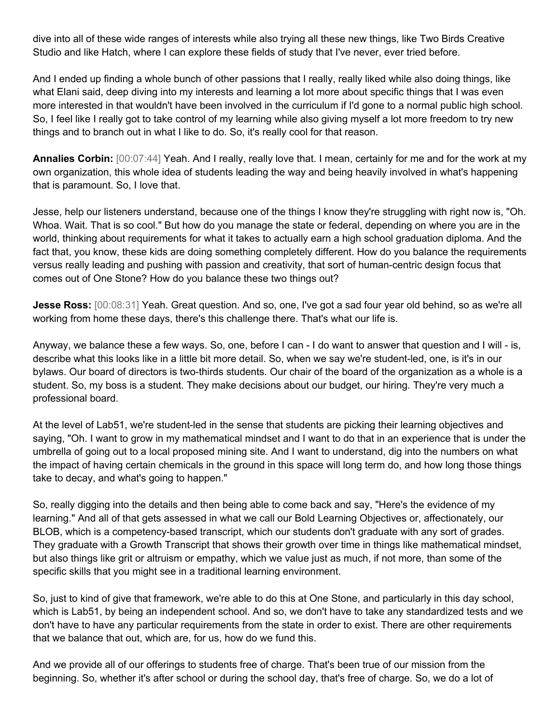dive into all of these wide ranges of interests while also trying all these new things, like Two Birds Creative Studio and like Hatch, where I can explore these fields of study that I've never, ever tried before.

And I ended up finding a whole bunch of other passions that I really, really liked while also doing things, like what Elani said, deep diving into my interests and learning a lot more about specific things that I was even more interested in that wouldn't have been involved in the curriculum if I'd gone to a normal public high school. So, I feel like I really got to take control of my learning while also giving myself a lot more freedom to try new things and to branch out in what I like to do. So, it's really cool for that reason.

**Annalies Corbin:** [00:07:44] Yeah. And I really, really love that. I mean, certainly for me and for the work at my own organization, this whole idea of students leading the way and being heavily involved in what's happening that is paramount. So, I love that.

Jesse, help our listeners understand, because one of the things I know they're struggling with right now is, "Oh. Whoa. Wait. That is so cool." But how do you manage the state or federal, depending on where you are in the world, thinking about requirements for what it takes to actually earn a high school graduation diploma. And the fact that, you know, these kids are doing something completely different. How do you balance the requirements versus really leading and pushing with passion and creativity, that sort of human-centric design focus that comes out of One Stone? How do you balance these two things out?

**Jesse Ross:** [00:08:31] Yeah. Great question. And so, one, I've got a sad four year old behind, so as we're all working from home these days, there's this challenge there. That's what our life is.

Anyway, we balance these a few ways. So, one, before I can - I do want to answer that question and I will - is, describe what this looks like in a little bit more detail. So, when we say we're student-led, one, is it's in our bylaws. Our board of directors is two-thirds students. Our chair of the board of the organization as a whole is a student. So, my boss is a student. They make decisions about our budget, our hiring. They're very much a professional board.

At the level of Lab51, we're student-led in the sense that students are picking their learning objectives and saying, "Oh. I want to grow in my mathematical mindset and I want to do that in an experience that is under the umbrella of going out to a local proposed mining site. And I want to understand, dig into the numbers on what the impact of having certain chemicals in the ground in this space will long term do, and how long those things take to decay, and what's going to happen."

So, really digging into the details and then being able to come back and say, "Here's the evidence of my learning." And all of that gets assessed in what we call our Bold Learning Objectives or, affectionately, our BLOB, which is a competency-based transcript, which our students don't graduate with any sort of grades. They graduate with a Growth Transcript that shows their growth over time in things like mathematical mindset, but also things like grit or altruism or empathy, which we value just as much, if not more, than some of the specific skills that you might see in a traditional learning environment.

So, just to kind of give that framework, we're able to do this at One Stone, and particularly in this day school, which is Lab51, by being an independent school. And so, we don't have to take any standardized tests and we don't have to have any particular requirements from the state in order to exist. There are other requirements that we balance that out, which are, for us, how do we fund this.

And we provide all of our offerings to students free of charge. That's been true of our mission from the beginning. So, whether it's after school or during the school day, that's free of charge. So, we do a lot of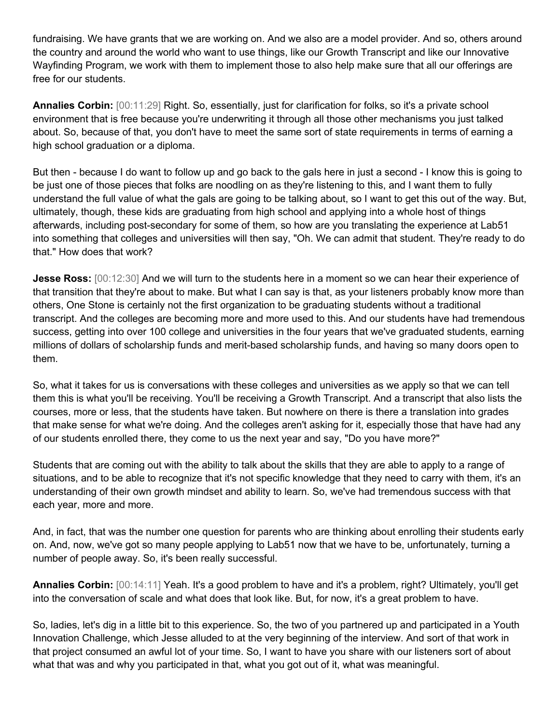fundraising. We have grants that we are working on. And we also are a model provider. And so, others around the country and around the world who want to use things, like our Growth Transcript and like our Innovative Wayfinding Program, we work with them to implement those to also help make sure that all our offerings are free for our students.

**Annalies Corbin:** [00:11:29] Right. So, essentially, just for clarification for folks, so it's a private school environment that is free because you're underwriting it through all those other mechanisms you just talked about. So, because of that, you don't have to meet the same sort of state requirements in terms of earning a high school graduation or a diploma.

But then - because I do want to follow up and go back to the gals here in just a second - I know this is going to be just one of those pieces that folks are noodling on as they're listening to this, and I want them to fully understand the full value of what the gals are going to be talking about, so I want to get this out of the way. But, ultimately, though, these kids are graduating from high school and applying into a whole host of things afterwards, including post-secondary for some of them, so how are you translating the experience at Lab51 into something that colleges and universities will then say, "Oh. We can admit that student. They're ready to do that." How does that work?

**Jesse Ross:** [00:12:30] And we will turn to the students here in a moment so we can hear their experience of that transition that they're about to make. But what I can say is that, as your listeners probably know more than others, One Stone is certainly not the first organization to be graduating students without a traditional transcript. And the colleges are becoming more and more used to this. And our students have had tremendous success, getting into over 100 college and universities in the four years that we've graduated students, earning millions of dollars of scholarship funds and merit-based scholarship funds, and having so many doors open to them.

So, what it takes for us is conversations with these colleges and universities as we apply so that we can tell them this is what you'll be receiving. You'll be receiving a Growth Transcript. And a transcript that also lists the courses, more or less, that the students have taken. But nowhere on there is there a translation into grades that make sense for what we're doing. And the colleges aren't asking for it, especially those that have had any of our students enrolled there, they come to us the next year and say, "Do you have more?"

Students that are coming out with the ability to talk about the skills that they are able to apply to a range of situations, and to be able to recognize that it's not specific knowledge that they need to carry with them, it's an understanding of their own growth mindset and ability to learn. So, we've had tremendous success with that each year, more and more.

And, in fact, that was the number one question for parents who are thinking about enrolling their students early on. And, now, we've got so many people applying to Lab51 now that we have to be, unfortunately, turning a number of people away. So, it's been really successful.

**Annalies Corbin:** [00:14:11] Yeah. It's a good problem to have and it's a problem, right? Ultimately, you'll get into the conversation of scale and what does that look like. But, for now, it's a great problem to have.

So, ladies, let's dig in a little bit to this experience. So, the two of you partnered up and participated in a Youth Innovation Challenge, which Jesse alluded to at the very beginning of the interview. And sort of that work in that project consumed an awful lot of your time. So, I want to have you share with our listeners sort of about what that was and why you participated in that, what you got out of it, what was meaningful.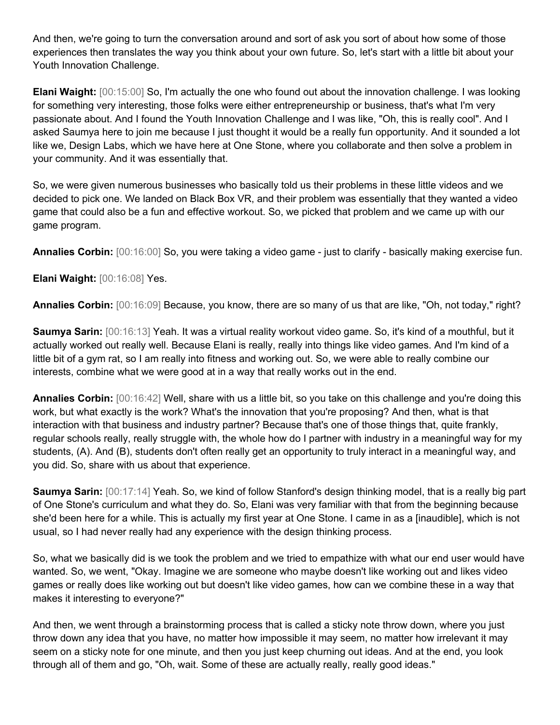And then, we're going to turn the conversation around and sort of ask you sort of about how some of those experiences then translates the way you think about your own future. So, let's start with a little bit about your Youth Innovation Challenge.

**Elani Waight:** [00:15:00] So, I'm actually the one who found out about the innovation challenge. I was looking for something very interesting, those folks were either entrepreneurship or business, that's what I'm very passionate about. And I found the Youth Innovation Challenge and I was like, "Oh, this is really cool". And I asked Saumya here to join me because I just thought it would be a really fun opportunity. And it sounded a lot like we, Design Labs, which we have here at One Stone, where you collaborate and then solve a problem in your community. And it was essentially that.

So, we were given numerous businesses who basically told us their problems in these little videos and we decided to pick one. We landed on Black Box VR, and their problem was essentially that they wanted a video game that could also be a fun and effective workout. So, we picked that problem and we came up with our game program.

**Annalies Corbin:** [00:16:00] So, you were taking a video game - just to clarify - basically making exercise fun.

**Elani Waight:** [00:16:08] Yes.

**Annalies Corbin:** [00:16:09] Because, you know, there are so many of us that are like, "Oh, not today," right?

**Saumya Sarin:** [00:16:13] Yeah. It was a virtual reality workout video game. So, it's kind of a mouthful, but it actually worked out really well. Because Elani is really, really into things like video games. And I'm kind of a little bit of a gym rat, so I am really into fitness and working out. So, we were able to really combine our interests, combine what we were good at in a way that really works out in the end.

**Annalies Corbin:** [00:16:42] Well, share with us a little bit, so you take on this challenge and you're doing this work, but what exactly is the work? What's the innovation that you're proposing? And then, what is that interaction with that business and industry partner? Because that's one of those things that, quite frankly, regular schools really, really struggle with, the whole how do I partner with industry in a meaningful way for my students, (A). And (B), students don't often really get an opportunity to truly interact in a meaningful way, and you did. So, share with us about that experience.

**Saumya Sarin:** [00:17:14] Yeah. So, we kind of follow Stanford's design thinking model, that is a really big part of One Stone's curriculum and what they do. So, Elani was very familiar with that from the beginning because she'd been here for a while. This is actually my first year at One Stone. I came in as a [inaudible], which is not usual, so I had never really had any experience with the design thinking process.

So, what we basically did is we took the problem and we tried to empathize with what our end user would have wanted. So, we went, "Okay. Imagine we are someone who maybe doesn't like working out and likes video games or really does like working out but doesn't like video games, how can we combine these in a way that makes it interesting to everyone?"

And then, we went through a brainstorming process that is called a sticky note throw down, where you just throw down any idea that you have, no matter how impossible it may seem, no matter how irrelevant it may seem on a sticky note for one minute, and then you just keep churning out ideas. And at the end, you look through all of them and go, "Oh, wait. Some of these are actually really, really good ideas."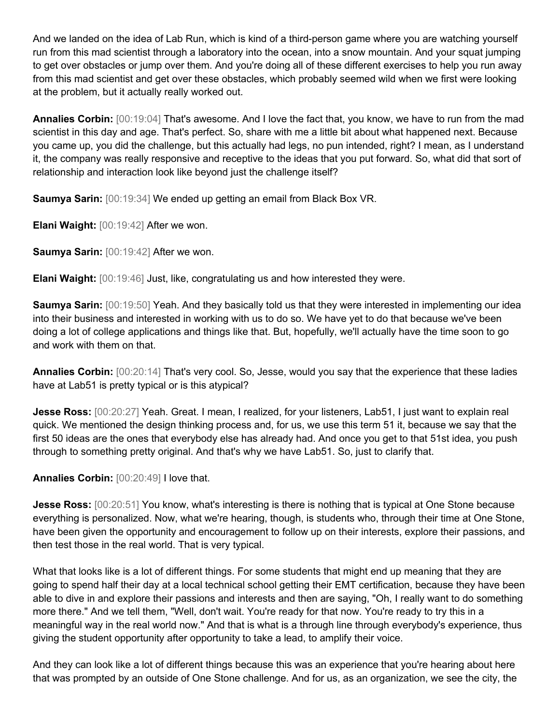And we landed on the idea of Lab Run, which is kind of a third-person game where you are watching yourself run from this mad scientist through a laboratory into the ocean, into a snow mountain. And your squat jumping to get over obstacles or jump over them. And you're doing all of these different exercises to help you run away from this mad scientist and get over these obstacles, which probably seemed wild when we first were looking at the problem, but it actually really worked out.

**Annalies Corbin:** [00:19:04] That's awesome. And I love the fact that, you know, we have to run from the mad scientist in this day and age. That's perfect. So, share with me a little bit about what happened next. Because you came up, you did the challenge, but this actually had legs, no pun intended, right? I mean, as I understand it, the company was really responsive and receptive to the ideas that you put forward. So, what did that sort of relationship and interaction look like beyond just the challenge itself?

**Saumya Sarin:** [00:19:34] We ended up getting an email from Black Box VR.

**Elani Waight:** [00:19:42] After we won.

**Saumya Sarin:** [00:19:42] After we won.

**Elani Waight:** [00:19:46] Just, like, congratulating us and how interested they were.

**Saumya Sarin:** [00:19:50] Yeah. And they basically told us that they were interested in implementing our idea into their business and interested in working with us to do so. We have yet to do that because we've been doing a lot of college applications and things like that. But, hopefully, we'll actually have the time soon to go and work with them on that.

**Annalies Corbin:** [00:20:14] That's very cool. So, Jesse, would you say that the experience that these ladies have at Lab51 is pretty typical or is this atypical?

**Jesse Ross:** [00:20:27] Yeah. Great. I mean, I realized, for your listeners, Lab51, I just want to explain real quick. We mentioned the design thinking process and, for us, we use this term 51 it, because we say that the first 50 ideas are the ones that everybody else has already had. And once you get to that 51st idea, you push through to something pretty original. And that's why we have Lab51. So, just to clarify that.

**Annalies Corbin:** [00:20:49] I love that.

**Jesse Ross:**  $[00:20:51]$  You know, what's interesting is there is nothing that is typical at One Stone because everything is personalized. Now, what we're hearing, though, is students who, through their time at One Stone, have been given the opportunity and encouragement to follow up on their interests, explore their passions, and then test those in the real world. That is very typical.

What that looks like is a lot of different things. For some students that might end up meaning that they are going to spend half their day at a local technical school getting their EMT certification, because they have been able to dive in and explore their passions and interests and then are saying, "Oh, I really want to do something more there." And we tell them, "Well, don't wait. You're ready for that now. You're ready to try this in a meaningful way in the real world now." And that is what is a through line through everybody's experience, thus giving the student opportunity after opportunity to take a lead, to amplify their voice.

And they can look like a lot of different things because this was an experience that you're hearing about here that was prompted by an outside of One Stone challenge. And for us, as an organization, we see the city, the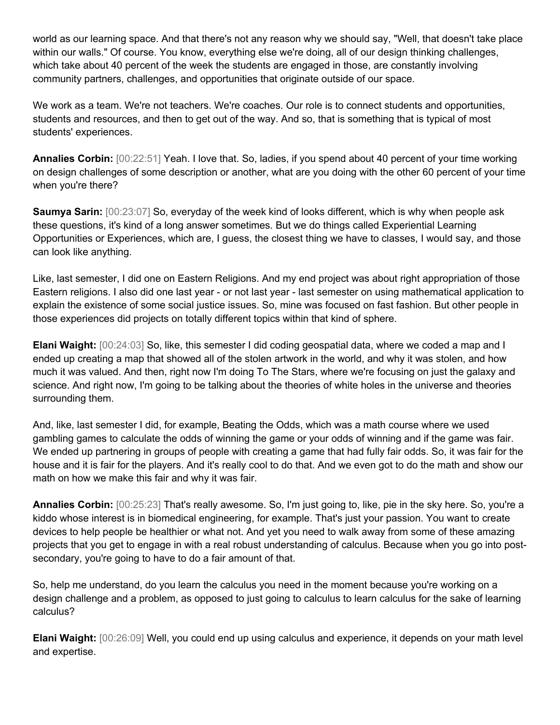world as our learning space. And that there's not any reason why we should say, "Well, that doesn't take place within our walls." Of course. You know, everything else we're doing, all of our design thinking challenges, which take about 40 percent of the week the students are engaged in those, are constantly involving community partners, challenges, and opportunities that originate outside of our space.

We work as a team. We're not teachers. We're coaches. Our role is to connect students and opportunities, students and resources, and then to get out of the way. And so, that is something that is typical of most students' experiences.

**Annalies Corbin:** [00:22:51] Yeah. I love that. So, ladies, if you spend about 40 percent of your time working on design challenges of some description or another, what are you doing with the other 60 percent of your time when you're there?

**Saumya Sarin:**  $[00:23:07]$  So, everyday of the week kind of looks different, which is why when people ask these questions, it's kind of a long answer sometimes. But we do things called Experiential Learning Opportunities or Experiences, which are, I guess, the closest thing we have to classes, I would say, and those can look like anything.

Like, last semester, I did one on Eastern Religions. And my end project was about right appropriation of those Eastern religions. I also did one last year - or not last year - last semester on using mathematical application to explain the existence of some social justice issues. So, mine was focused on fast fashion. But other people in those experiences did projects on totally different topics within that kind of sphere.

**Elani Waight:** [00:24:03] So, like, this semester I did coding geospatial data, where we coded a map and I ended up creating a map that showed all of the stolen artwork in the world, and why it was stolen, and how much it was valued. And then, right now I'm doing To The Stars, where we're focusing on just the galaxy and science. And right now, I'm going to be talking about the theories of white holes in the universe and theories surrounding them.

And, like, last semester I did, for example, Beating the Odds, which was a math course where we used gambling games to calculate the odds of winning the game or your odds of winning and if the game was fair. We ended up partnering in groups of people with creating a game that had fully fair odds. So, it was fair for the house and it is fair for the players. And it's really cool to do that. And we even got to do the math and show our math on how we make this fair and why it was fair.

**Annalies Corbin:** [00:25:23] That's really awesome. So, I'm just going to, like, pie in the sky here. So, you're a kiddo whose interest is in biomedical engineering, for example. That's just your passion. You want to create devices to help people be healthier or what not. And yet you need to walk away from some of these amazing projects that you get to engage in with a real robust understanding of calculus. Because when you go into postsecondary, you're going to have to do a fair amount of that.

So, help me understand, do you learn the calculus you need in the moment because you're working on a design challenge and a problem, as opposed to just going to calculus to learn calculus for the sake of learning calculus?

**Elani Waight:** [00:26:09] Well, you could end up using calculus and experience, it depends on your math level and expertise.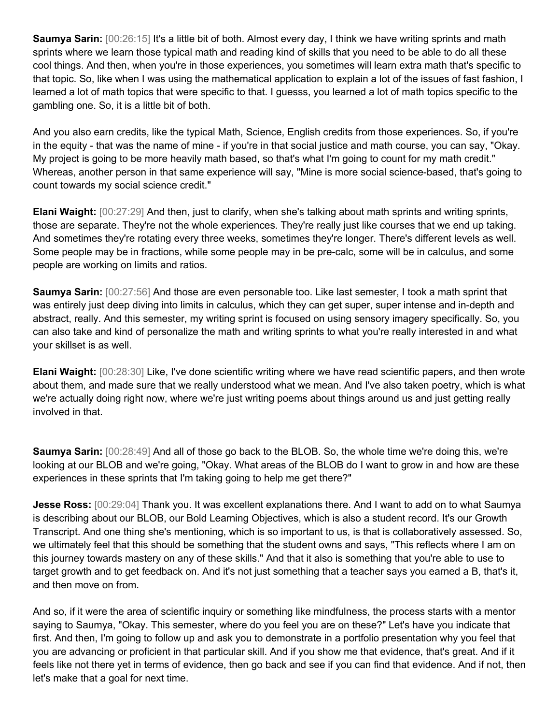**Saumya Sarin:** [00:26:15] It's a little bit of both. Almost every day, I think we have writing sprints and math sprints where we learn those typical math and reading kind of skills that you need to be able to do all these cool things. And then, when you're in those experiences, you sometimes will learn extra math that's specific to that topic. So, like when I was using the mathematical application to explain a lot of the issues of fast fashion, I learned a lot of math topics that were specific to that. I guesss, you learned a lot of math topics specific to the gambling one. So, it is a little bit of both.

And you also earn credits, like the typical Math, Science, English credits from those experiences. So, if you're in the equity - that was the name of mine - if you're in that social justice and math course, you can say, "Okay. My project is going to be more heavily math based, so that's what I'm going to count for my math credit." Whereas, another person in that same experience will say, "Mine is more social science-based, that's going to count towards my social science credit."

**Elani Waight:** [00:27:29] And then, just to clarify, when she's talking about math sprints and writing sprints, those are separate. They're not the whole experiences. They're really just like courses that we end up taking. And sometimes they're rotating every three weeks, sometimes they're longer. There's different levels as well. Some people may be in fractions, while some people may in be pre-calc, some will be in calculus, and some people are working on limits and ratios.

**Saumya Sarin:** [00:27:56] And those are even personable too. Like last semester, I took a math sprint that was entirely just deep diving into limits in calculus, which they can get super, super intense and in-depth and abstract, really. And this semester, my writing sprint is focused on using sensory imagery specifically. So, you can also take and kind of personalize the math and writing sprints to what you're really interested in and what your skillset is as well.

**Elani Waight:** [00:28:30] Like, I've done scientific writing where we have read scientific papers, and then wrote about them, and made sure that we really understood what we mean. And I've also taken poetry, which is what we're actually doing right now, where we're just writing poems about things around us and just getting really involved in that.

**Saumya Sarin:** [00:28:49] And all of those go back to the BLOB. So, the whole time we're doing this, we're looking at our BLOB and we're going, "Okay. What areas of the BLOB do I want to grow in and how are these experiences in these sprints that I'm taking going to help me get there?"

**Jesse Ross:** [00:29:04] Thank you. It was excellent explanations there. And I want to add on to what Saumya is describing about our BLOB, our Bold Learning Objectives, which is also a student record. It's our Growth Transcript. And one thing she's mentioning, which is so important to us, is that is collaboratively assessed. So, we ultimately feel that this should be something that the student owns and says, "This reflects where I am on this journey towards mastery on any of these skills." And that it also is something that you're able to use to target growth and to get feedback on. And it's not just something that a teacher says you earned a B, that's it, and then move on from.

And so, if it were the area of scientific inquiry or something like mindfulness, the process starts with a mentor saying to Saumya, "Okay. This semester, where do you feel you are on these?" Let's have you indicate that first. And then, I'm going to follow up and ask you to demonstrate in a portfolio presentation why you feel that you are advancing or proficient in that particular skill. And if you show me that evidence, that's great. And if it feels like not there yet in terms of evidence, then go back and see if you can find that evidence. And if not, then let's make that a goal for next time.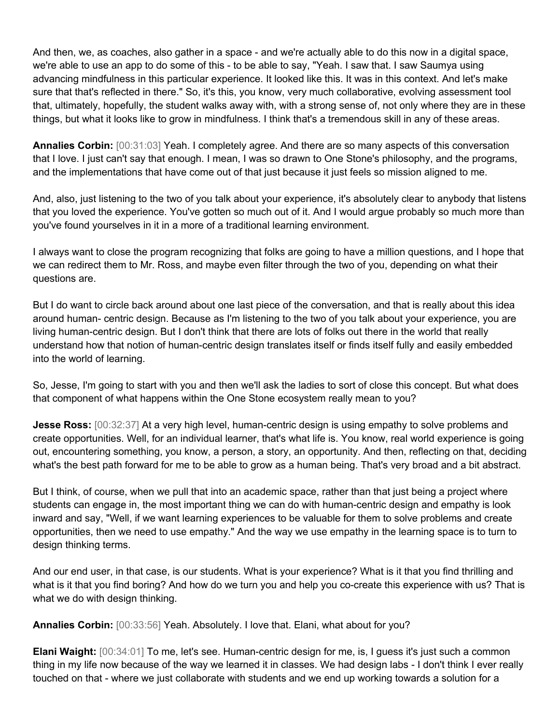And then, we, as coaches, also gather in a space - and we're actually able to do this now in a digital space, we're able to use an app to do some of this - to be able to say, "Yeah. I saw that. I saw Saumya using advancing mindfulness in this particular experience. It looked like this. It was in this context. And let's make sure that that's reflected in there." So, it's this, you know, very much collaborative, evolving assessment tool that, ultimately, hopefully, the student walks away with, with a strong sense of, not only where they are in these things, but what it looks like to grow in mindfulness. I think that's a tremendous skill in any of these areas.

**Annalies Corbin:** [00:31:03] Yeah. I completely agree. And there are so many aspects of this conversation that I love. I just can't say that enough. I mean, I was so drawn to One Stone's philosophy, and the programs, and the implementations that have come out of that just because it just feels so mission aligned to me.

And, also, just listening to the two of you talk about your experience, it's absolutely clear to anybody that listens that you loved the experience. You've gotten so much out of it. And I would argue probably so much more than you've found yourselves in it in a more of a traditional learning environment.

I always want to close the program recognizing that folks are going to have a million questions, and I hope that we can redirect them to Mr. Ross, and maybe even filter through the two of you, depending on what their questions are.

But I do want to circle back around about one last piece of the conversation, and that is really about this idea around human- centric design. Because as I'm listening to the two of you talk about your experience, you are living human-centric design. But I don't think that there are lots of folks out there in the world that really understand how that notion of human-centric design translates itself or finds itself fully and easily embedded into the world of learning.

So, Jesse, I'm going to start with you and then we'll ask the ladies to sort of close this concept. But what does that component of what happens within the One Stone ecosystem really mean to you?

**Jesse Ross:**  $[00:32:37]$  At a very high level, human-centric design is using empathy to solve problems and create opportunities. Well, for an individual learner, that's what life is. You know, real world experience is going out, encountering something, you know, a person, a story, an opportunity. And then, reflecting on that, deciding what's the best path forward for me to be able to grow as a human being. That's very broad and a bit abstract.

But I think, of course, when we pull that into an academic space, rather than that just being a project where students can engage in, the most important thing we can do with human-centric design and empathy is look inward and say, "Well, if we want learning experiences to be valuable for them to solve problems and create opportunities, then we need to use empathy." And the way we use empathy in the learning space is to turn to design thinking terms.

And our end user, in that case, is our students. What is your experience? What is it that you find thrilling and what is it that you find boring? And how do we turn you and help you co-create this experience with us? That is what we do with design thinking.

**Annalies Corbin:** [00:33:56] Yeah. Absolutely. I love that. Elani, what about for you?

**Elani Waight:** [00:34:01] To me, let's see. Human-centric design for me, is, I guess it's just such a common thing in my life now because of the way we learned it in classes. We had design labs - I don't think I ever really touched on that - where we just collaborate with students and we end up working towards a solution for a